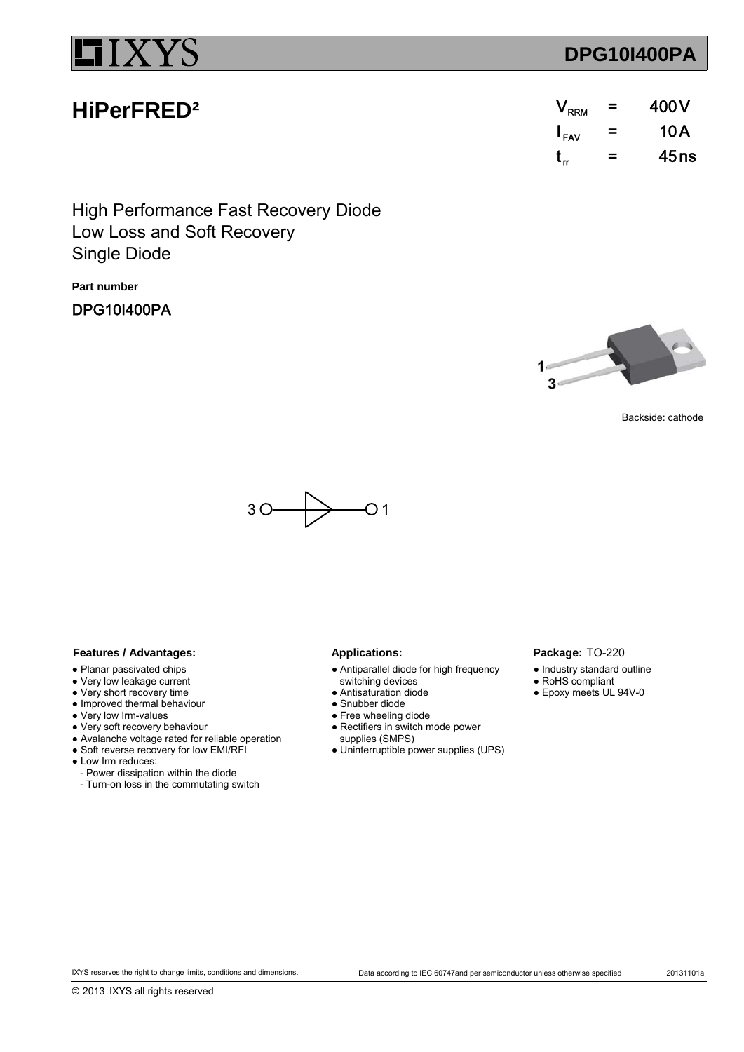**HiPerFRED²**

## **DPG10I400PA**

| $\rm V_{\rm RRM}$ | $=$ | 400 V |
|-------------------|-----|-------|
| $I_{\text{FAV}}$  | =   | 10 A  |
| t,                | =   | 45ns  |

Low Loss and Soft Recovery High Performance Fast Recovery Diode Single Diode

**Part number**

DPG10I400PA



Package: TO-220 ● Industry standard outline ● RoHS compliant ● Epoxy meets UL 94V-0

Backside: cathode



### Features / Advantages: Applications:

- Planar passivated chips
- Very low leakage current
- Very short recovery time
- Improved thermal behaviour
- Very low Irm-values
- Very soft recovery behaviour
- Avalanche voltage rated for reliable operation
- Soft reverse recovery for low EMI/RFI
- Low Irm reduces:
	- Power dissipation within the diode
	- Turn-on loss in the commutating switch

- Antiparallel diode for high frequency
- switching devices
- Antisaturation diode
- Snubber diode
- Free wheeling diode ● Rectifiers in switch mode power
- supplies (SMPS)
- Uninterruptible power supplies (UPS)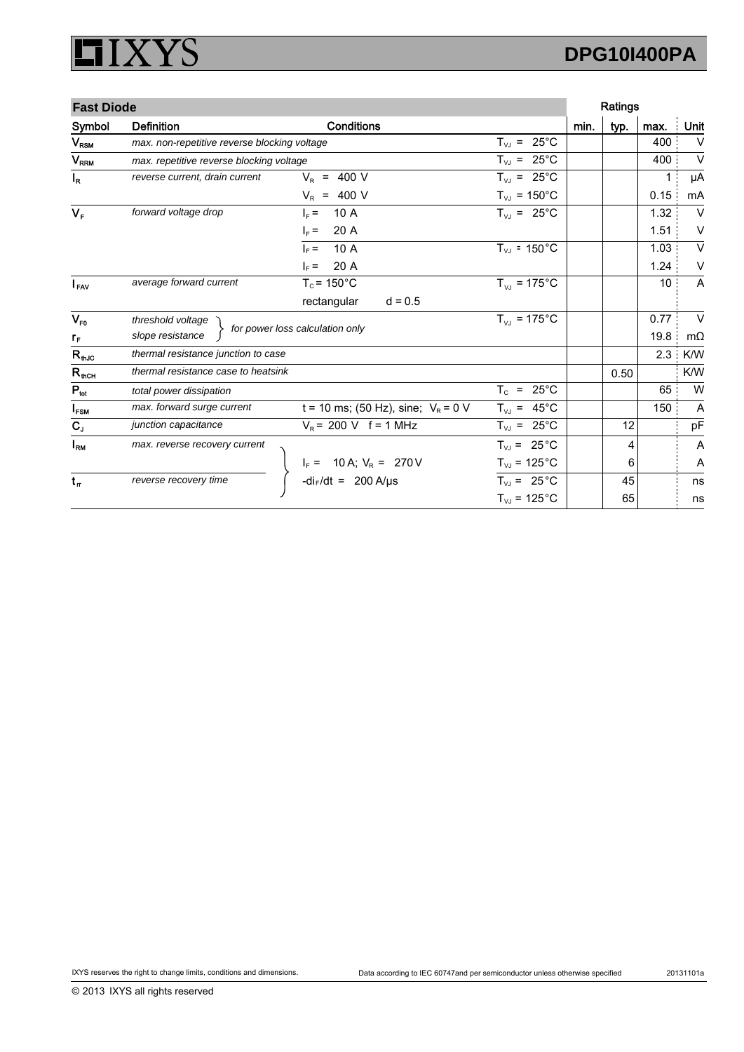### **XYS** ļ  $\Box$

# **DPG10I400PA**

| <b>Fast Diode</b> |                                              |                                                                              | Ratings                            |      |      |                 |                |
|-------------------|----------------------------------------------|------------------------------------------------------------------------------|------------------------------------|------|------|-----------------|----------------|
| Symbol            | <b>Definition</b>                            | <b>Conditions</b>                                                            |                                    | min. | typ. | max.            | Unit           |
| $V_{\text{RSM}}$  | max. non-repetitive reverse blocking voltage |                                                                              | $T_{VJ}$ = 25°C                    |      |      | 400             | $\vee$         |
| V <sub>RRM</sub>  | max. repetitive reverse blocking voltage     |                                                                              | $T_{VJ}$ = 25°C                    |      |      | 400             | $\vee$         |
| $I_R$             | reverse current, drain current               | $V_{\rm R}$ = 400 V                                                          | $T_{VJ}$ = 25°C                    |      |      | 1               | μA             |
|                   |                                              | $V_R$ = 400 V                                                                | $T_{VJ}$ = 150°C                   |      |      | 0.15            | mA             |
| $V_F$             | forward voltage drop                         | 10 A<br>$L =$                                                                | $T_{VJ}$ = 25°C                    |      |      | 1.32            | $\vee$         |
|                   |                                              | 20 A<br>$\vert_{\rm F}$ =                                                    |                                    |      |      | 1.51            | $\vee$         |
|                   |                                              | 10 A<br>$\vert_{\rm F}$ =                                                    | $T_{VJ}$ = 150 $^{\circ}$ C        |      |      | 1.03            | $\vee$         |
|                   |                                              | 20 A<br>$\vert_{\rm F}$ =                                                    |                                    |      |      | 1.24            | V              |
| $I_{\text{FAV}}$  | average forward current                      | $T_c$ = 150 $^{\circ}$ C                                                     | $T_{VJ} = 175^{\circ}C$            |      |      | 10 <sup>°</sup> | A              |
|                   |                                              | rectangular<br>$d = 0.5$                                                     |                                    |      |      |                 |                |
| $V_{F0}$          | threshold voltage                            |                                                                              | $T_{VJ}$ = 175°C                   |      |      | 0.77            | $\vee$         |
| $r_{\rm F}$       | slope resistance                             | for power loss calculation only                                              |                                    |      |      | 19.8            | $m\Omega$      |
| $R_{th,IC}$       | thermal resistance junction to case          |                                                                              |                                    |      |      | 2.3             | K/W            |
| $R_{\rm thCH}$    | thermal resistance case to heatsink          |                                                                              |                                    |      | 0.50 |                 | K/W            |
| $P_{\text{tot}}$  | total power dissipation                      |                                                                              | $T_c = 25^{\circ}C$                |      |      | 65              | W              |
| $I_{FSM}$         | max. forward surge current                   | t = 10 ms; (50 Hz), sine; $V_R$ = 0 V                                        | $T_{VJ}$ = 45°C                    |      |      | 150             | A              |
| $C_{J}$           | junction capacitance                         | $V_R$ = 200 V f = 1 MHz                                                      | $T_{VJ}$ = 25°C                    |      | 12   |                 | pF             |
| $I_{\rm RM}$      | max. reverse recovery current                |                                                                              | $T_{VJ}$ = 25 °C                   |      | 4    |                 | $\overline{A}$ |
|                   |                                              |                                                                              | $T_{VJ}$ = 125 $^{\circ}$ C        |      | 6    |                 | Α              |
| $t_{\rm r}$       | reverse recovery time                        | $I_F = 10 \text{ A}; V_R = 270 \text{ V}$<br>-di <sub>F</sub> /dt = 200 A/µs | $T_{VJ}$ = 25 °C                   |      | 45   |                 | ns             |
|                   |                                              |                                                                              | $T_{\text{VJ}}$ = 125 $^{\circ}$ C |      | 65   |                 | ns             |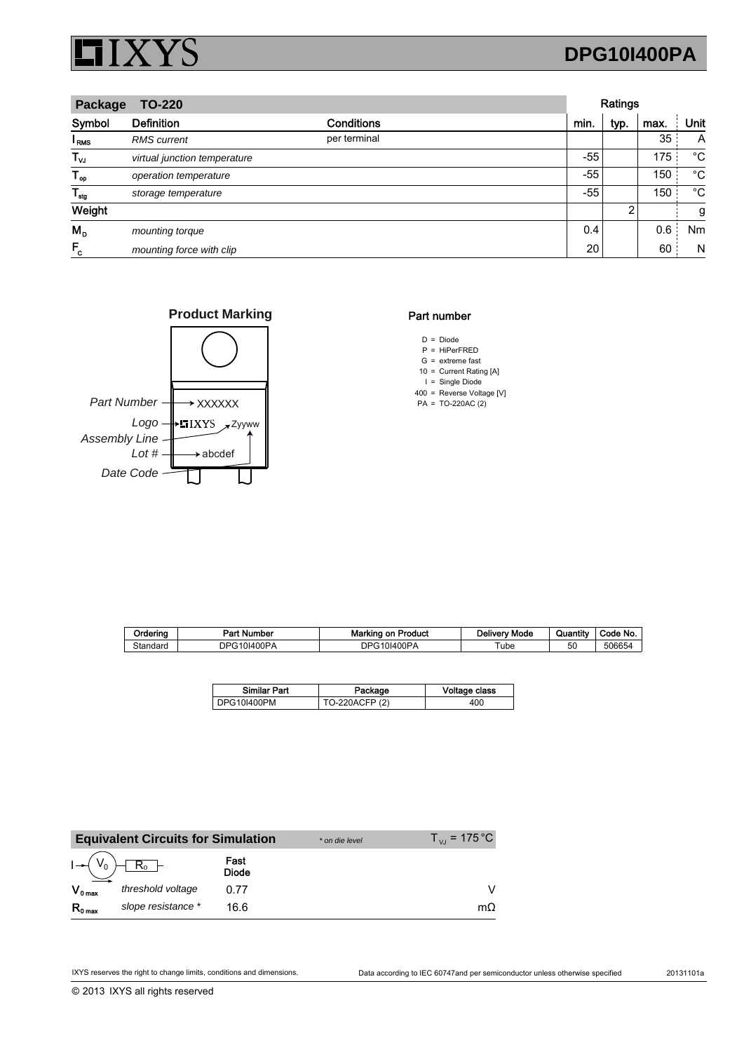

## **DPG10I400PA**

| <b>TO-220</b><br>Package |                              |              |       | Ratings |      |             |
|--------------------------|------------------------------|--------------|-------|---------|------|-------------|
| Symbol                   | <b>Definition</b>            | Conditions   | min.  | typ.    | max. | Unit        |
| I <sub>RMS</sub>         | <b>RMS</b> current           | per terminal |       |         | 35   | A           |
| $T_{\mathsf{vJ}}$        | virtual junction temperature |              | $-55$ |         | 175  | °C          |
| $T_{op}$                 | operation temperature        |              | $-55$ |         | 150  | °С          |
| $T_{\text{stg}}$         | storage temperature          |              | $-55$ |         | 150  | $^{\circ}C$ |
| Weight                   |                              |              |       | 2       |      | g           |
| $M_{\rm p}$              | mounting torque              |              | 0.4   |         | 0.6  | Nm          |
| $F_c$                    | mounting force with clip     |              | 20    |         | 60   | N           |





### Part number

- $D = Diode$
- P = HiPerFRED  $G =$  extreme fast
- 10 Current Rating [A] =
- I = Single Diode
- 400 Reverse Voltage [V] =
- $PA = TO-220AC(2)$

| Orderina | Part Number            | <b>Marking on Product</b> | Deliverv Mode | Quantity | Code No |
|----------|------------------------|---------------------------|---------------|----------|---------|
| Standard | 10I400PA<br><b>DPG</b> | `10I400PA<br>DPG.         | Tube          | 50       | 506654  |

| <b>Similar Part</b> | Package        | Voltage class |
|---------------------|----------------|---------------|
| DPG10I400PM         | TO-220ACFP (2) | 400           |

|                     | <b>Equivalent Circuits for Simulation</b> |                      | * on die level | $T_{V1}$ = 175 °C |
|---------------------|-------------------------------------------|----------------------|----------------|-------------------|
| $I \rightarrow V_0$ | $R_0$                                     | Fast<br><b>Diode</b> |                |                   |
| $V_{0 \text{ max}}$ | threshold voltage                         | በ 77                 |                |                   |
| $R_{0 \text{ max}}$ | slope resistance *                        | 16.6                 |                | mΩ                |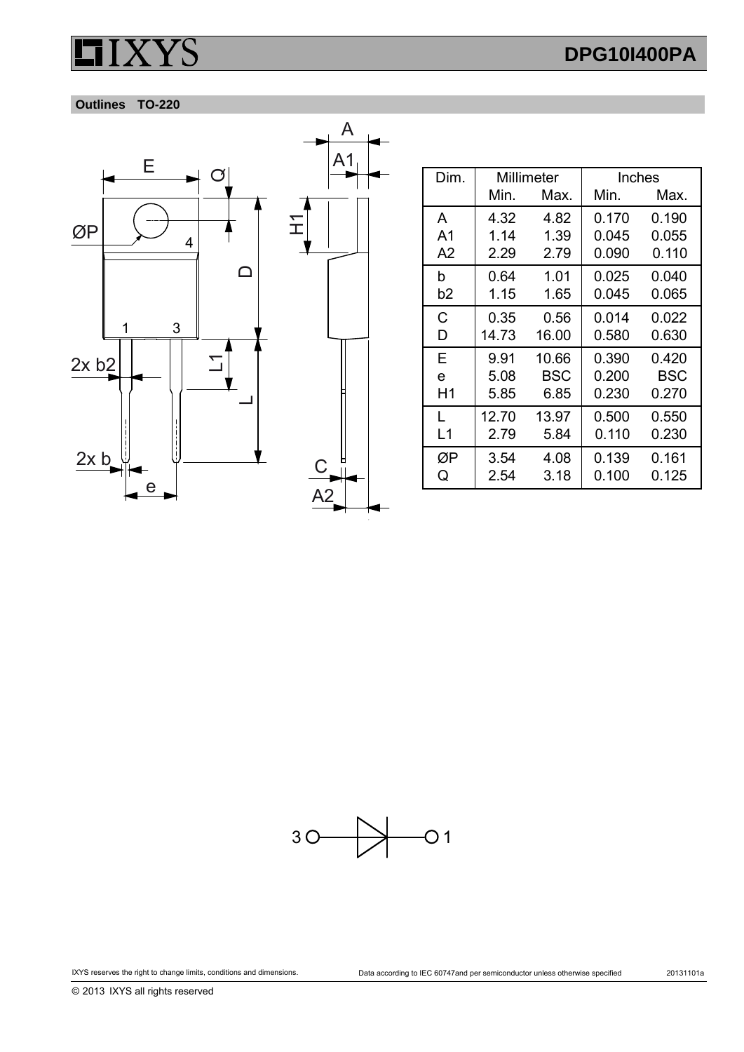# **DPG10I400PA**

### **Outlines TO-220**





| Dim. | Millimeter |       | Inches |            |
|------|------------|-------|--------|------------|
|      | Min.       | Max.  | Min.   | Max.       |
| A    | 4.32       | 4.82  | 0.170  | 0.190      |
| A1   | 1.14       | 1.39  | 0.045  | 0.055      |
| A2   | 2.29       | 2.79  | 0.090  | 0.110      |
| b    | 0.64       | 1.01  | 0.025  | 0.040      |
| b2   | 1.15       | 1.65  | 0.045  | 0.065      |
| C    | 0.35       | 0.56  | 0.014  | 0.022      |
| D    | 14.73      | 16.00 | 0.580  | 0.630      |
| Е    | 9.91       | 10.66 | 0.390  | 0.420      |
| e    | 5.08       | BSC   | 0.200  | <b>BSC</b> |
| H1   | 5.85       | 6.85  | 0.230  | 0.270      |
| L    | 12.70      | 13.97 | 0.500  | 0.550      |
| L1   | 2.79       | 5.84  | 0.110  | 0.230      |
| ØΡ   | 3.54       | 4.08  | 0.139  | 0.161      |
| Q    | 2.54       | 3.18  | 0.100  | 0.125      |